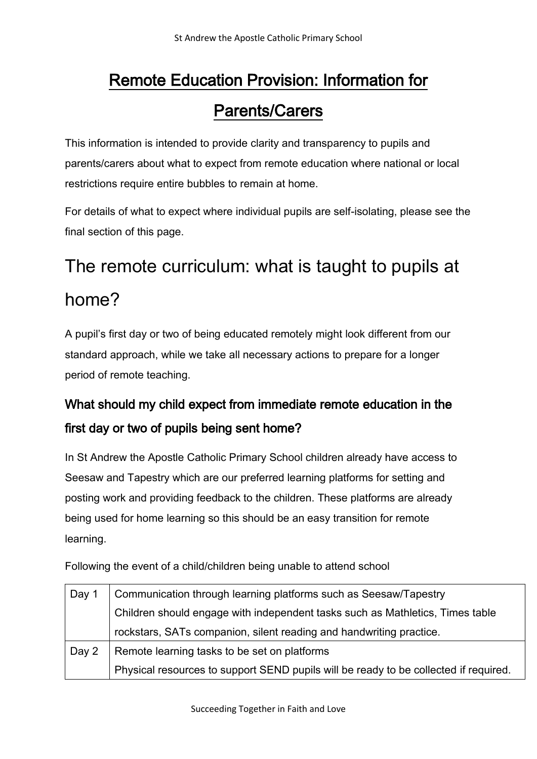# Remote Education Provision: Information for Parents/Carers

This information is intended to provide clarity and transparency to pupils and parents/carers about what to expect from remote education where national or local restrictions require entire bubbles to remain at home.

For details of what to expect where individual pupils are self-isolating, please see the final section of this page.

# The remote curriculum: what is taught to pupils at home?

A pupil's first day or two of being educated remotely might look different from our standard approach, while we take all necessary actions to prepare for a longer period of remote teaching.

# What should my child expect from immediate remote education in the first day or two of pupils being sent home?

In St Andrew the Apostle Catholic Primary School children already have access to Seesaw and Tapestry which are our preferred learning platforms for setting and posting work and providing feedback to the children. These platforms are already being used for home learning so this should be an easy transition for remote learning.

Following the event of a child/children being unable to attend school

| Day 1 | Communication through learning platforms such as Seesaw/Tapestry                     |  |
|-------|--------------------------------------------------------------------------------------|--|
|       | Children should engage with independent tasks such as Mathletics, Times table        |  |
|       | rockstars, SATs companion, silent reading and handwriting practice.                  |  |
| Day 2 | Remote learning tasks to be set on platforms                                         |  |
|       | Physical resources to support SEND pupils will be ready to be collected if required. |  |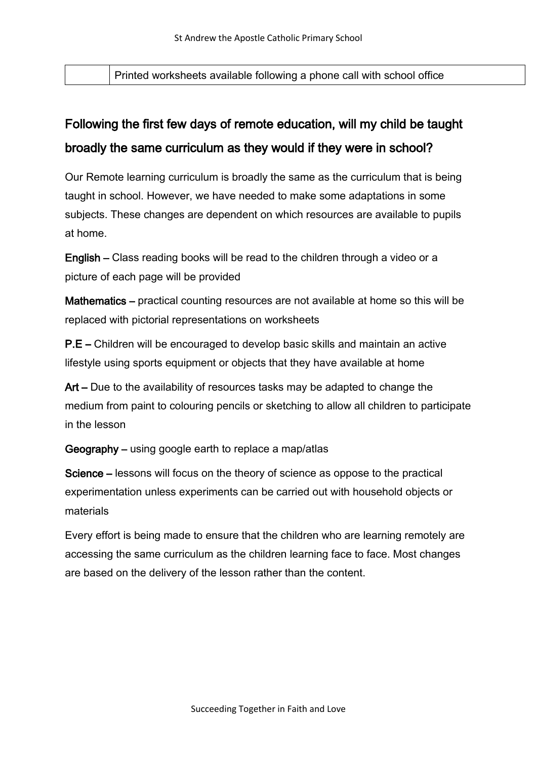Printed worksheets available following a phone call with school office

# Following the first few days of remote education, will my child be taught broadly the same curriculum as they would if they were in school?

Our Remote learning curriculum is broadly the same as the curriculum that is being taught in school. However, we have needed to make some adaptations in some subjects. These changes are dependent on which resources are available to pupils at home.

English – Class reading books will be read to the children through a video or a picture of each page will be provided

Mathematics – practical counting resources are not available at home so this will be replaced with pictorial representations on worksheets

P.E – Children will be encouraged to develop basic skills and maintain an active lifestyle using sports equipment or objects that they have available at home

Art – Due to the availability of resources tasks may be adapted to change the medium from paint to colouring pencils or sketching to allow all children to participate in the lesson

Geography – using google earth to replace a map/atlas

Science – lessons will focus on the theory of science as oppose to the practical experimentation unless experiments can be carried out with household objects or materials

Every effort is being made to ensure that the children who are learning remotely are accessing the same curriculum as the children learning face to face. Most changes are based on the delivery of the lesson rather than the content.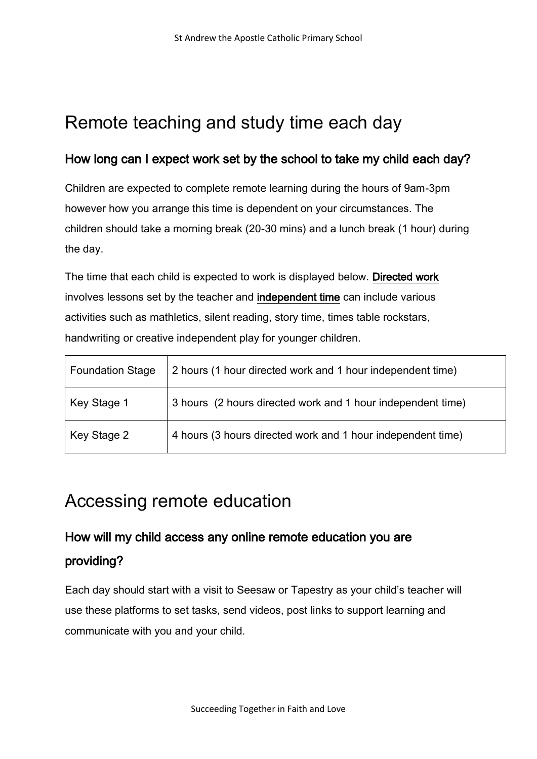# Remote teaching and study time each day

#### How long can I expect work set by the school to take my child each day?

Children are expected to complete remote learning during the hours of 9am-3pm however how you arrange this time is dependent on your circumstances. The children should take a morning break (20-30 mins) and a lunch break (1 hour) during the day.

The time that each child is expected to work is displayed below. Directed work involves lessons set by the teacher and independent time can include various activities such as mathletics, silent reading, story time, times table rockstars, handwriting or creative independent play for younger children.

| <b>Foundation Stage</b> | 2 hours (1 hour directed work and 1 hour independent time)  |
|-------------------------|-------------------------------------------------------------|
| Key Stage 1             | 3 hours (2 hours directed work and 1 hour independent time) |
| Key Stage 2             | 4 hours (3 hours directed work and 1 hour independent time) |

# Accessing remote education

# How will my child access any online remote education you are providing?

Each day should start with a visit to Seesaw or Tapestry as your child's teacher will use these platforms to set tasks, send videos, post links to support learning and communicate with you and your child.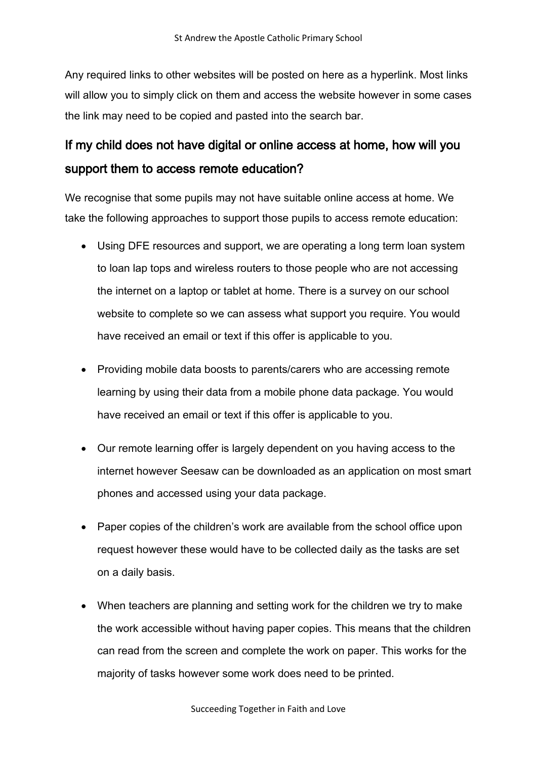Any required links to other websites will be posted on here as a hyperlink. Most links will allow you to simply click on them and access the website however in some cases the link may need to be copied and pasted into the search bar.

#### If my child does not have digital or online access at home, how will you support them to access remote education?

We recognise that some pupils may not have suitable online access at home. We take the following approaches to support those pupils to access remote education:

- Using DFE resources and support, we are operating a long term loan system to loan lap tops and wireless routers to those people who are not accessing the internet on a laptop or tablet at home. There is a survey on our school website to complete so we can assess what support you require. You would have received an email or text if this offer is applicable to you.
- Providing mobile data boosts to parents/carers who are accessing remote learning by using their data from a mobile phone data package. You would have received an email or text if this offer is applicable to you.
- Our remote learning offer is largely dependent on you having access to the internet however Seesaw can be downloaded as an application on most smart phones and accessed using your data package.
- Paper copies of the children's work are available from the school office upon request however these would have to be collected daily as the tasks are set on a daily basis.
- When teachers are planning and setting work for the children we try to make the work accessible without having paper copies. This means that the children can read from the screen and complete the work on paper. This works for the majority of tasks however some work does need to be printed.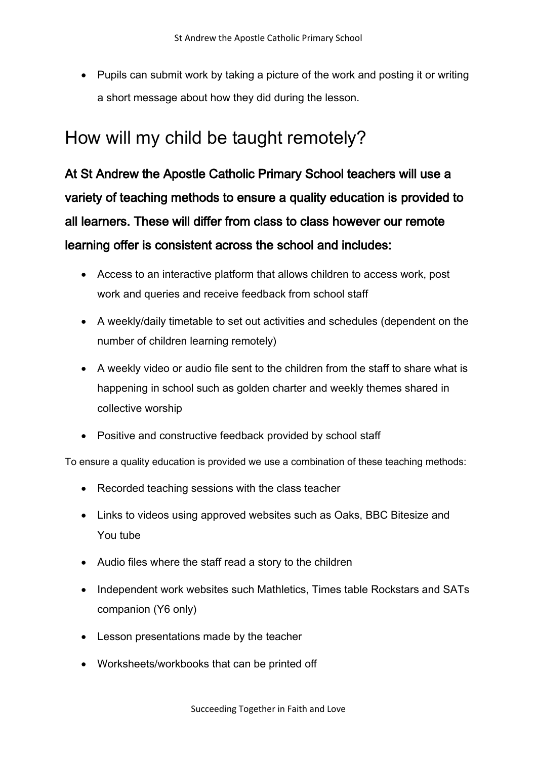• Pupils can submit work by taking a picture of the work and posting it or writing a short message about how they did during the lesson.

# How will my child be taught remotely?

At St Andrew the Apostle Catholic Primary School teachers will use a variety of teaching methods to ensure a quality education is provided to all learners. These will differ from class to class however our remote learning offer is consistent across the school and includes:

- Access to an interactive platform that allows children to access work, post work and queries and receive feedback from school staff
- A weekly/daily timetable to set out activities and schedules (dependent on the number of children learning remotely)
- A weekly video or audio file sent to the children from the staff to share what is happening in school such as golden charter and weekly themes shared in collective worship
- Positive and constructive feedback provided by school staff

To ensure a quality education is provided we use a combination of these teaching methods:

- Recorded teaching sessions with the class teacher
- Links to videos using approved websites such as Oaks, BBC Bitesize and You tube
- Audio files where the staff read a story to the children
- Independent work websites such Mathletics, Times table Rockstars and SATs companion (Y6 only)
- Lesson presentations made by the teacher
- Worksheets/workbooks that can be printed off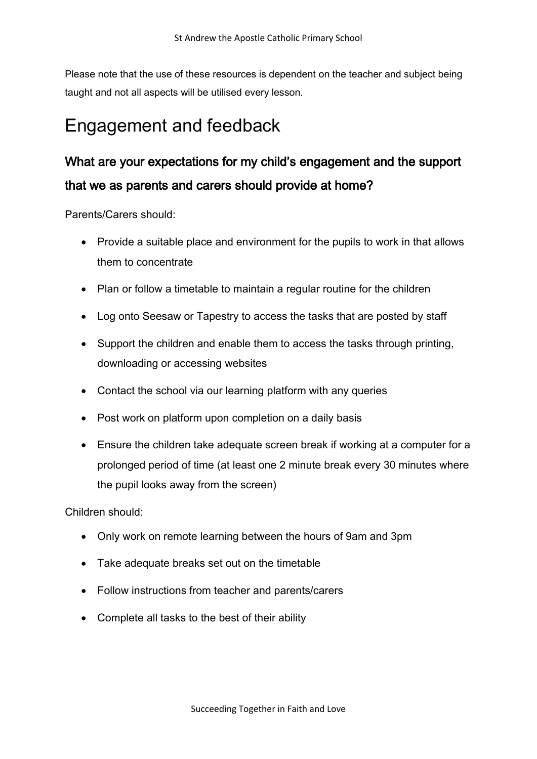Please note that the use of these resources is dependent on the teacher and subject being taught and not all aspects will be utilised every lesson.

# Engagement and feedback

# What are your expectations for my child's engagement and the support that we as parents and carers should provide at home?

Parents/Carers should:

- Provide a suitable place and environment for the pupils to work in that allows them to concentrate
- Plan or follow a timetable to maintain a regular routine for the children
- Log onto Seesaw or Tapestry to access the tasks that are posted by staff
- Support the children and enable them to access the tasks through printing, downloading or accessing websites
- Contact the school via our learning platform with any queries
- Post work on platform upon completion on a daily basis
- Ensure the children take adequate screen break if working at a computer for a prolonged period of time (at least one 2 minute break every 30 minutes where the pupil looks away from the screen)

Children should:

- Only work on remote learning between the hours of 9am and 3pm
- Take adequate breaks set out on the timetable
- Follow instructions from teacher and parents/carers
- Complete all tasks to the best of their ability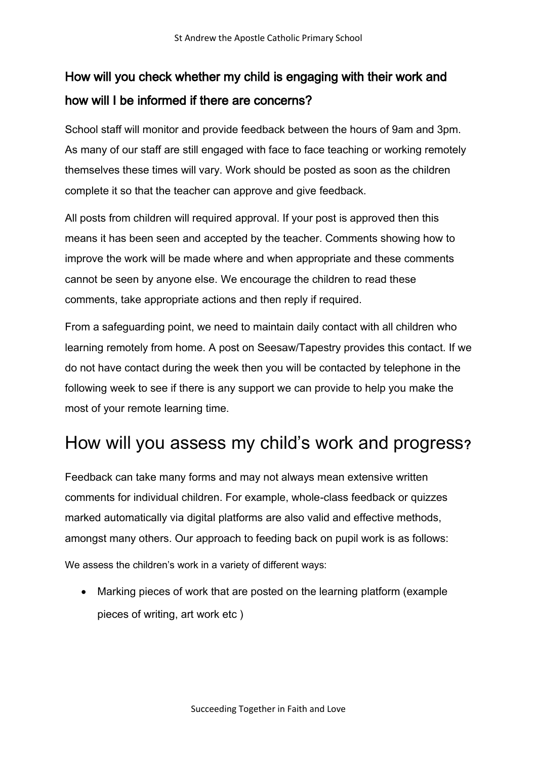# How will you check whether my child is engaging with their work and how will I be informed if there are concerns?

School staff will monitor and provide feedback between the hours of 9am and 3pm. As many of our staff are still engaged with face to face teaching or working remotely themselves these times will vary. Work should be posted as soon as the children complete it so that the teacher can approve and give feedback.

All posts from children will required approval. If your post is approved then this means it has been seen and accepted by the teacher. Comments showing how to improve the work will be made where and when appropriate and these comments cannot be seen by anyone else. We encourage the children to read these comments, take appropriate actions and then reply if required.

From a safeguarding point, we need to maintain daily contact with all children who learning remotely from home. A post on Seesaw/Tapestry provides this contact. If we do not have contact during the week then you will be contacted by telephone in the following week to see if there is any support we can provide to help you make the most of your remote learning time.

# How will you assess my child's work and progress?

Feedback can take many forms and may not always mean extensive written comments for individual children. For example, whole-class feedback or quizzes marked automatically via digital platforms are also valid and effective methods, amongst many others. Our approach to feeding back on pupil work is as follows:

We assess the children's work in a variety of different ways:

• Marking pieces of work that are posted on the learning platform (example pieces of writing, art work etc )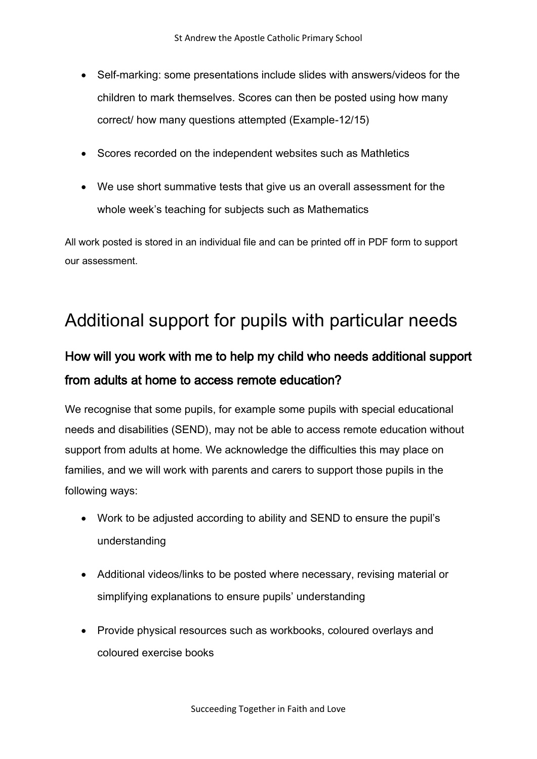- Self-marking: some presentations include slides with answers/videos for the children to mark themselves. Scores can then be posted using how many correct/ how many questions attempted (Example-12/15)
- Scores recorded on the independent websites such as Mathletics
- We use short summative tests that give us an overall assessment for the whole week's teaching for subjects such as Mathematics

All work posted is stored in an individual file and can be printed off in PDF form to support our assessment.

# Additional support for pupils with particular needs

#### How will you work with me to help my child who needs additional support from adults at home to access remote education?

We recognise that some pupils, for example some pupils with special educational needs and disabilities (SEND), may not be able to access remote education without support from adults at home. We acknowledge the difficulties this may place on families, and we will work with parents and carers to support those pupils in the following ways:

- Work to be adjusted according to ability and SEND to ensure the pupil's understanding
- Additional videos/links to be posted where necessary, revising material or simplifying explanations to ensure pupils' understanding
- Provide physical resources such as workbooks, coloured overlays and coloured exercise books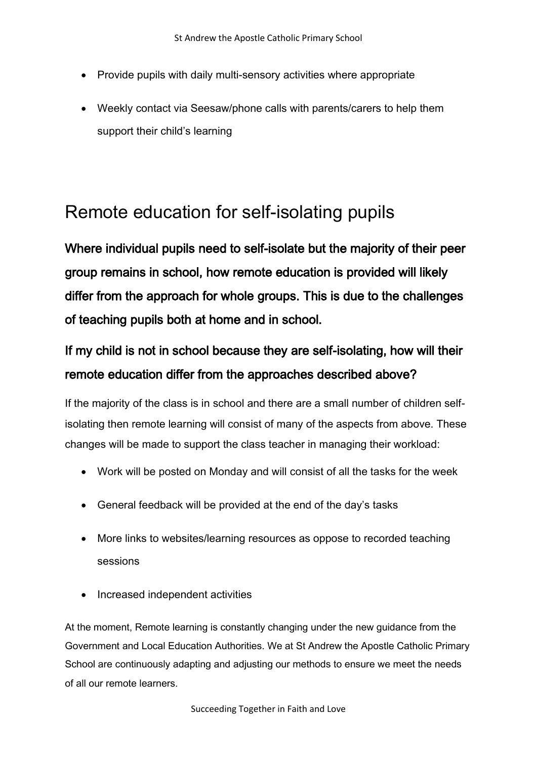- Provide pupils with daily multi-sensory activities where appropriate
- Weekly contact via Seesaw/phone calls with parents/carers to help them support their child's learning

# Remote education for self-isolating pupils

Where individual pupils need to self-isolate but the majority of their peer group remains in school, how remote education is provided will likely differ from the approach for whole groups. This is due to the challenges of teaching pupils both at home and in school.

# If my child is not in school because they are self-isolating, how will their remote education differ from the approaches described above?

If the majority of the class is in school and there are a small number of children selfisolating then remote learning will consist of many of the aspects from above. These changes will be made to support the class teacher in managing their workload:

- Work will be posted on Monday and will consist of all the tasks for the week
- General feedback will be provided at the end of the day's tasks
- More links to websites/learning resources as oppose to recorded teaching sessions
- Increased independent activities

At the moment, Remote learning is constantly changing under the new guidance from the Government and Local Education Authorities. We at St Andrew the Apostle Catholic Primary School are continuously adapting and adjusting our methods to ensure we meet the needs of all our remote learners.